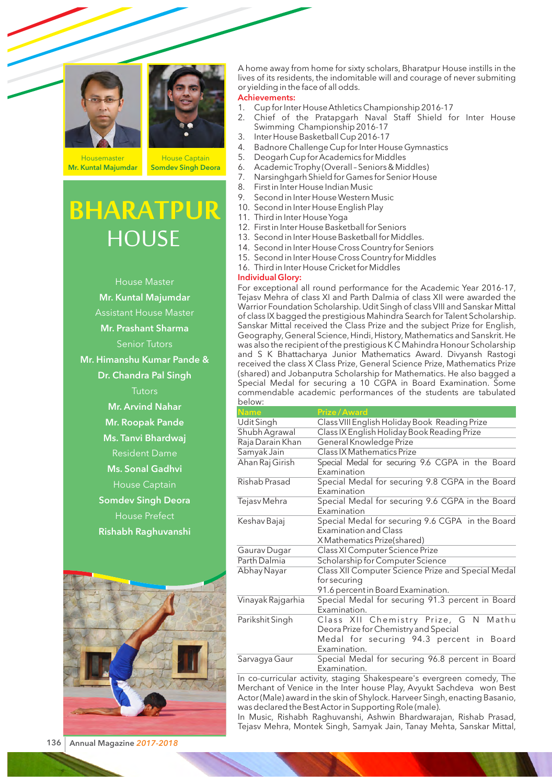



**Housemaster** Mr. Kuntal Majumdar

House Captain Somdev Singh Deora

# **HOUSE BHARATPUR**

House Master Mr. Kuntal Majumdar Assistant House Master Mr. Prashant Sharma Senior Tutors Mr. Himanshu Kumar Pande & Dr. Chandra Pal Singh **Tutors** Mr. Arvind Nahar Mr. Roopak Pande Ms. Tanvi Bhardwaj Resident Dame Ms. Sonal Gadhvi House Captain Somdev Singh Deora House Prefect Rishabh Raghuvanshi



A home away from home for sixty scholars, Bharatpur House instills in the lives of its residents, the indomitable will and courage of never submiting or yielding in the face of all odds.

# Achievements:

- 1. Cup for Inter House Athletics Championship 2016-17
- 2. Chief of the Pratapgarh Naval Staff Shield for Inter House Swimming Championship 2016-17
- 3. Inter House Basketball Cup 2016-17
- 4. Badnore Challenge Cup for Inter House Gymnastics
- 5. Deogarh Cup for Academics for Middles
- 6. Academic Trophy (Overall Seniors & Middles)
- 7. Narsinghgarh Shield for Games for Senior House
- 8. First in Inter House Indian Music
- 9. Second in Inter House Western Music
- 10. Second in Inter House English Play
- 11. Third in Inter House Yoga
- 12. First in Inter House Basketball for Seniors
- 13. Second in Inter House Basketball for Middles.
- 14. Second in Inter House Cross Country for Seniors
- 15. Second in Inter House Cross Country for Middles
- 16. Third in Inter House Cricket for Middles

## Individual Glory:

For exceptional all round performance for the Academic Year 2016-17, Tejasy Mehra of class XI and Parth Dalmia of class XII were awarded the Warrior Foundation Scholarship. Udit Singh of class VIII and Sanskar Mittal of class IX bagged the prestigious Mahindra Search for Talent Scholarship. Sanskar Mittal received the Class Prize and the subject Prize for English, Geography, General Science, Hindi, History, Mathematics and Sanskrit. He was also the recipient of the prestigious K C Mahindra Honour Scholarship and S K Bhattacharya Junior Mathematics Award. Divyansh Rastogi received the class X Class Prize, General Science Prize, Mathematics Prize (shared) and Jobanputra Scholarship for Mathematics. He also bagged a Special Medal for securing a 10 CGPA in Board Examination. Some commendable academic performances of the students are tabulated below:

| Name                 | Prize / Award                                                                                                                             |  |  |  |
|----------------------|-------------------------------------------------------------------------------------------------------------------------------------------|--|--|--|
| Udit Singh           | Class VIII English Holiday Book Reading Prize                                                                                             |  |  |  |
| Shubh Agrawal        | Class IX English Holiday Book Reading Prize                                                                                               |  |  |  |
| Raja Darain Khan     | General Knowledge Prize                                                                                                                   |  |  |  |
| Samyak Jain          | Class IX Mathematics Prize                                                                                                                |  |  |  |
| Ahan Raj Girish      | Special Medal for securing 9.6 CGPA in the Board<br>Examination                                                                           |  |  |  |
| Rishab Prasad        | Special Medal for securing 9.8 CGPA in the Board<br>Examination                                                                           |  |  |  |
| Tejasv Mehra         | Special Medal for securing 9.6 CGPA in the Board<br>Examination                                                                           |  |  |  |
| Keshav Bajaj         | Special Medal for securing 9.6 CGPA in the Board<br><b>Examination and Class</b><br>X Mathematics Prize(shared)                           |  |  |  |
| Gaurav Dugar         | Class XI Computer Science Prize                                                                                                           |  |  |  |
| Parth Dalmia         | Scholarship for Computer Science                                                                                                          |  |  |  |
| Abhay Nayar          | Class XII Computer Science Prize and Special Medal<br>for securing<br>91.6 percent in Board Examination.                                  |  |  |  |
| Vinayak Rajgarhia    | Special Medal for securing 91.3 percent in Board                                                                                          |  |  |  |
|                      | Examination.                                                                                                                              |  |  |  |
| Parikshit Singh      | Class XII Chemistry Prize, G N Mathu<br>Deora Prize for Chemistry and Special<br>Medal for securing 94.3 percent in Board<br>Examination. |  |  |  |
| Sarvagya Gaur        | Special Medal for securing 96.8 percent in Board<br>Examination.                                                                          |  |  |  |
| $\sim$ $\sim$ $\sim$ | $\mathbf{r}$ and $\mathbf{r}$                                                                                                             |  |  |  |

In co-curricular activity, staging Shakespeare's evergreen comedy, The Merchant of Venice in the Inter house Play, Avyukt Sachdeva won Best Actor (Male) award in the skin of Shylock. Harveer Singh, enacting Basanio, was declared the Best Actor in Supporting Role (male).

In Music, Rishabh Raghuvanshi, Ashwin Bhardwarajan, Rishab Prasad, Tejasv Mehra, Montek Singh, Samyak Jain, Tanay Mehta, Sanskar Mittal,